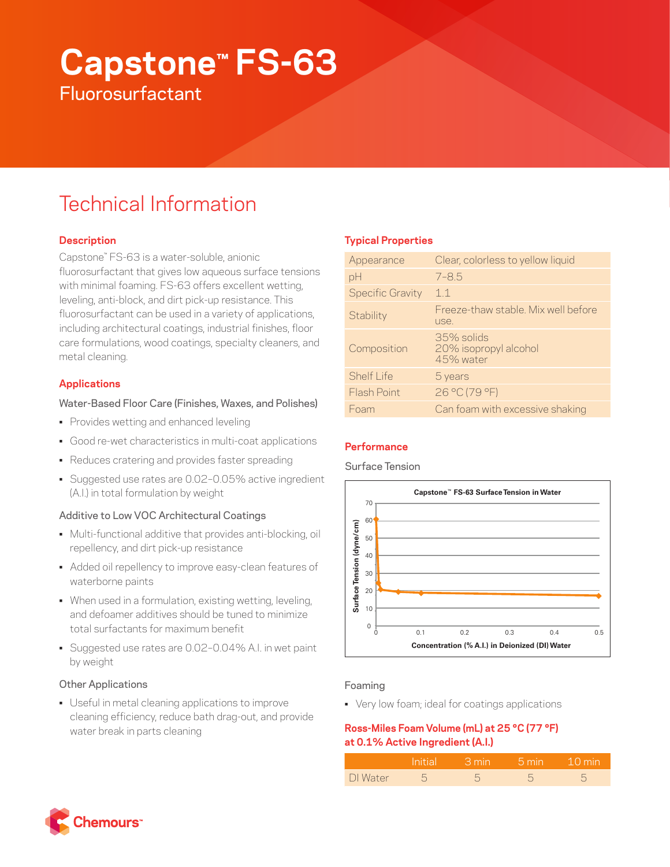# **Capstone™ FS-63 Fluorosurfactant**

## Technical Information

## **Description**

Capstone™ FS-63 is a water-soluble, anionic fluorosurfactant that gives low aqueous surface tensions with minimal foaming. FS-63 offers excellent wetting, leveling, anti-block, and dirt pick-up resistance. This fluorosurfactant can be used in a variety of applications, including architectural coatings, industrial finishes, floor care formulations, wood coatings, specialty cleaners, and metal cleaning.

## **Applications**

## Water-Based Floor Care (Finishes, Waxes, and Polishes)

- Provides wetting and enhanced leveling
- Good re-wet characteristics in multi-coat applications
- Reduces cratering and provides faster spreading
- Suggested use rates are 0.02–0.05% active ingredient (A.I.) in total formulation by weight

## Additive to Low VOC Architectural Coatings

- Multi-functional additive that provides anti-blocking, oil repellency, and dirt pick-up resistance
- Added oil repellency to improve easy-clean features of waterborne paints
- When used in a formulation, existing wetting, leveling, and defoamer additives should be tuned to minimize total surfactants for maximum benefit
- Suggested use rates are 0.02–0.04% A.I. in wet paint by weight

## Other Applications

• Useful in metal cleaning applications to improve cleaning efficiency, reduce bath drag-out, and provide water break in parts cleaning

## **Typical Properties**

| Appearance              | Clear, colorless to yellow liquid                |
|-------------------------|--------------------------------------------------|
| pH                      | $7 - 8.5$                                        |
| <b>Specific Gravity</b> | 11                                               |
| Stability               | Freeze-thaw stable. Mix well before<br>use.      |
| Composition             | 35% solids<br>20% isopropyl alcohol<br>45% water |
| Shelf I ife             | 5 years                                          |
| Flash Point             | 26 °C (79 °F)                                    |
| Foam                    | Can foam with excessive shaking                  |
|                         |                                                  |

## **Performance**

Surface Tension



## Foaming

• Very low foam; ideal for coatings applications

## **Ross-Miles Foam Volume (mL) at 25 °C (77 °F) at 0.1% Active Ingredient (A.I.)**

|          | Initial I | – ∃min i | $-5$ min | $-10$ min |
|----------|-----------|----------|----------|-----------|
| DI Water |           |          |          |           |